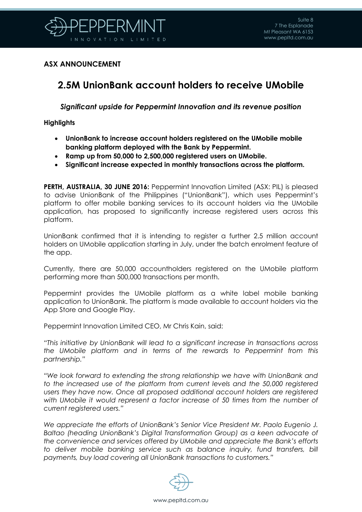

## **ASX ANNOUNCEMENT**

# **2.5M UnionBank account holders to receive UMobile**

*Significant upside for Peppermint Innovation and its revenue position*

### **Highlights**

- **UnionBank to increase account holders registered on the UMobile mobile banking platform deployed with the Bank by Peppermint.**
- **Ramp up from 50,000 to 2,500,000 registered users on UMobile.**
- **Significant increase expected in monthly transactions across the platform.**

**PERTH, AUSTRALIA, 30 JUNE 2016:** Peppermint Innovation Limited (ASX: PIL) is pleased to advise UnionBank of the Philippines ("UnionBank"), which uses Peppermint's platform to offer mobile banking services to its account holders via the UMobile application, has proposed to significantly increase registered users across this platform.

UnionBank confirmed that it is intending to register a further 2.5 million account holders on UMobile application starting in July, under the batch enrolment feature of the app.

Currently, there are 50,000 accountholders registered on the UMobile platform performing more than 500,000 transactions per month.

Peppermint provides the UMobile platform as a white label mobile banking application to UnionBank. The platform is made available to account holders via the App Store and Google Play.

Peppermint Innovation Limited CEO, Mr Chris Kain, said:

*"This initiative by UnionBank will lead to a significant increase in transactions across the UMobile platform and in terms of the rewards to Peppermint from this partnership."*

*"We look forward to extending the strong relationship we have with UnionBank and*  to the increased use of the platform from current levels and the 50,000 registered *users they have now. Once all proposed additional account holders are registered with UMobile it would represent a factor increase of 50 times from the number of current registered users."* 

*We appreciate the efforts of UnionBank's Senior Vice President Mr. Paolo Eugenio J. Baltao (heading UnionBank's Digital Transformation Group) as a keen advocate of the convenience and services offered by UMobile and appreciate the Bank's efforts*  to deliver mobile banking service such as balance inquiry, fund transfers, bill *payments, buy load covering all UnionBank transactions to customers."*